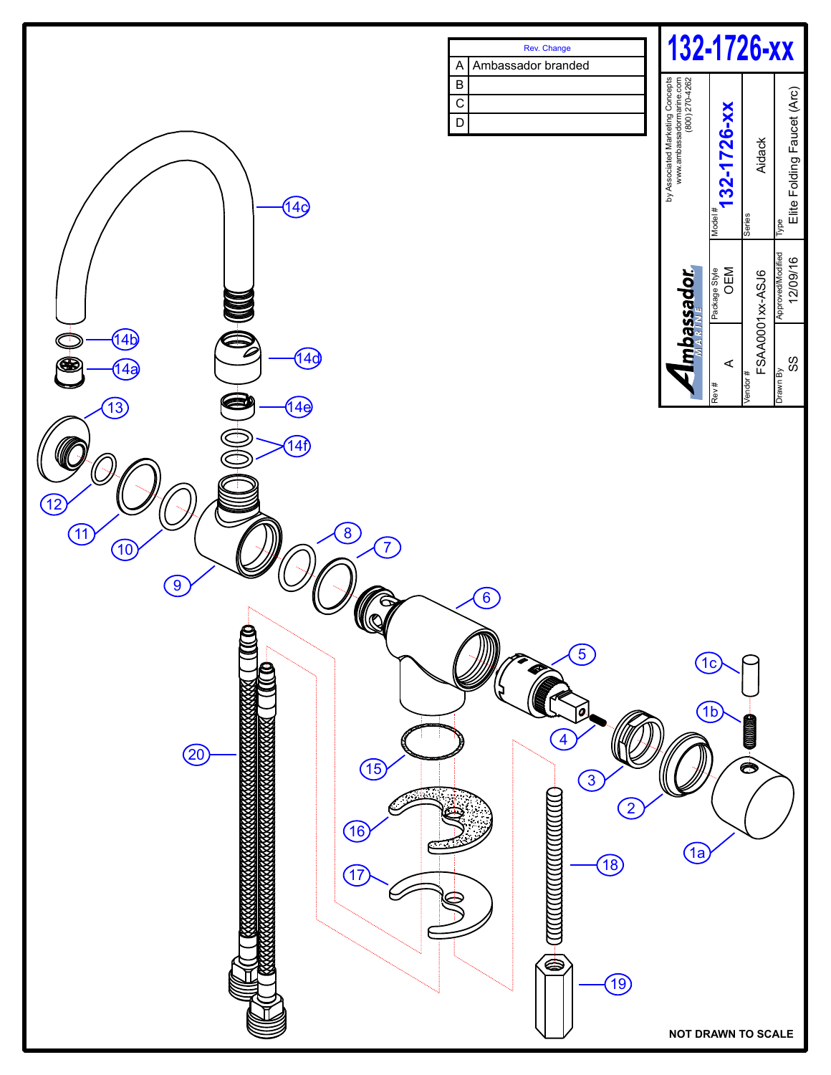